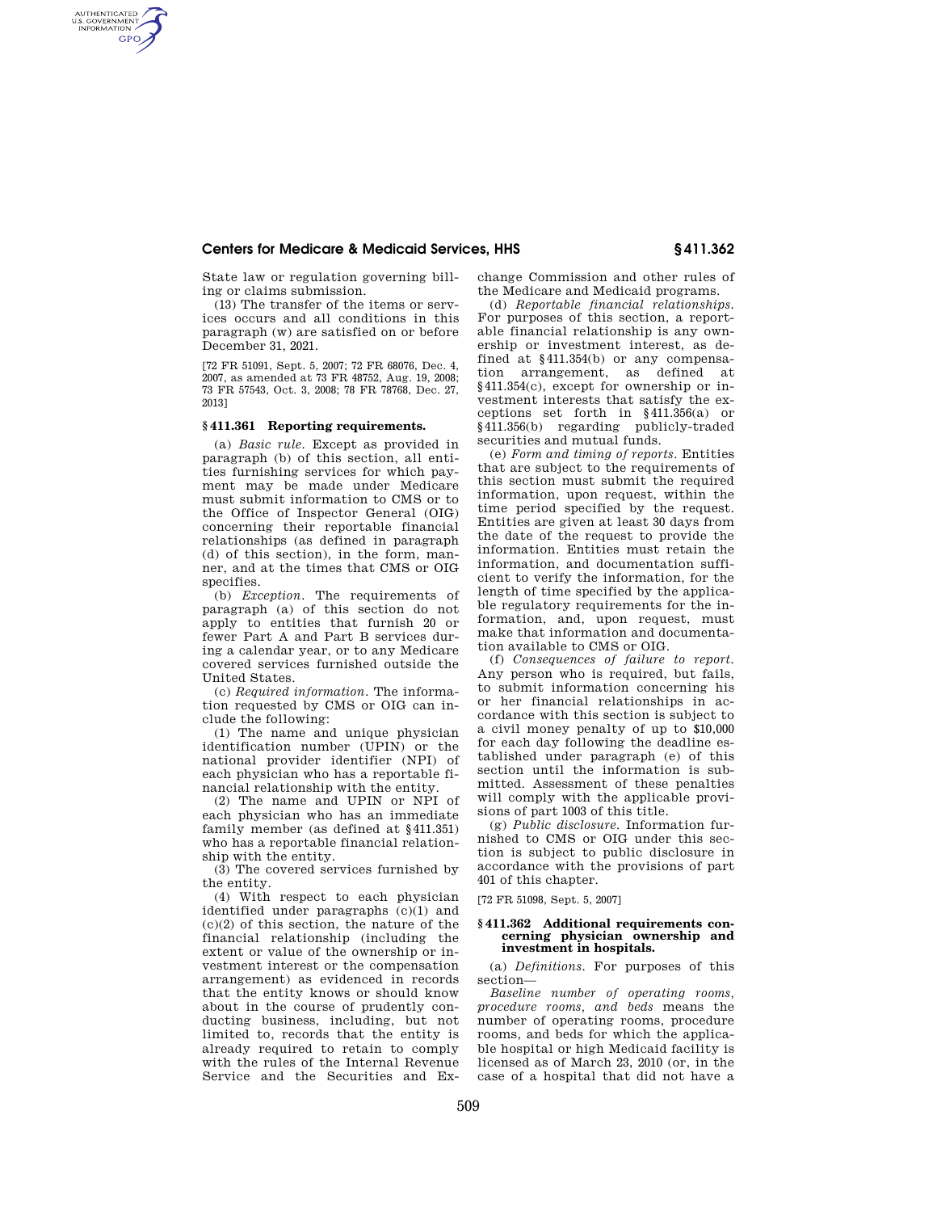## **Centers for Medicare & Medicaid Services, HHS § 411.362**

State law or regulation governing billing or claims submission.

AUTHENTICATED<br>U.S. GOVERNMENT<br>INFORMATION **GPO** 

> (13) The transfer of the items or services occurs and all conditions in this paragraph (w) are satisfied on or before December 31, 2021.

> [72 FR 51091, Sept. 5, 2007; 72 FR 68076, Dec. 4, 2007, as amended at 73 FR 48752, Aug. 19, 2008; 73 FR 57543, Oct. 3, 2008; 78 FR 78768, Dec. 27, 2013]

# **§ 411.361 Reporting requirements.**

(a) *Basic rule.* Except as provided in paragraph (b) of this section, all entities furnishing services for which payment may be made under Medicare must submit information to CMS or to the Office of Inspector General (OIG) concerning their reportable financial relationships (as defined in paragraph (d) of this section), in the form, manner, and at the times that CMS or OIG specifies.

(b) *Exception.* The requirements of paragraph (a) of this section do not apply to entities that furnish 20 or fewer Part A and Part B services during a calendar year, or to any Medicare covered services furnished outside the United States.

(c) *Required information.* The information requested by CMS or OIG can include the following:

(1) The name and unique physician identification number (UPIN) or the national provider identifier (NPI) of each physician who has a reportable financial relationship with the entity.

(2) The name and UPIN or NPI of each physician who has an immediate family member (as defined at §411.351) who has a reportable financial relationship with the entity.

(3) The covered services furnished by the entity.

(4) With respect to each physician identified under paragraphs (c)(1) and  $(c)(2)$  of this section, the nature of the financial relationship (including the extent or value of the ownership or investment interest or the compensation arrangement) as evidenced in records that the entity knows or should know about in the course of prudently conducting business, including, but not limited to, records that the entity is already required to retain to comply with the rules of the Internal Revenue Service and the Securities and Exchange Commission and other rules of the Medicare and Medicaid programs.

(d) *Reportable financial relationships.*  For purposes of this section, a reportable financial relationship is any ownership or investment interest, as defined at §411.354(b) or any compensation arrangement, as defined at §411.354(c), except for ownership or investment interests that satisfy the exceptions set forth in §411.356(a) or §411.356(b) regarding publicly-traded securities and mutual funds.

(e) *Form and timing of reports.* Entities that are subject to the requirements of this section must submit the required information, upon request, within the time period specified by the request. Entities are given at least 30 days from the date of the request to provide the information. Entities must retain the information, and documentation sufficient to verify the information, for the length of time specified by the applicable regulatory requirements for the information, and, upon request, must make that information and documentation available to CMS or OIG.

(f) *Consequences of failure to report.*  Any person who is required, but fails, to submit information concerning his or her financial relationships in accordance with this section is subject to a civil money penalty of up to \$10,000 for each day following the deadline established under paragraph (e) of this section until the information is submitted. Assessment of these penalties will comply with the applicable provisions of part 1003 of this title.

(g) *Public disclosure.* Information furnished to CMS or OIG under this section is subject to public disclosure in accordance with the provisions of part 401 of this chapter.

[72 FR 51098, Sept. 5, 2007]

#### **§ 411.362 Additional requirements concerning physician ownership and investment in hospitals.**

(a) *Definitions.* For purposes of this section—

*Baseline number of operating rooms, procedure rooms, and beds* means the number of operating rooms, procedure rooms, and beds for which the applicable hospital or high Medicaid facility is licensed as of March 23, 2010 (or, in the case of a hospital that did not have a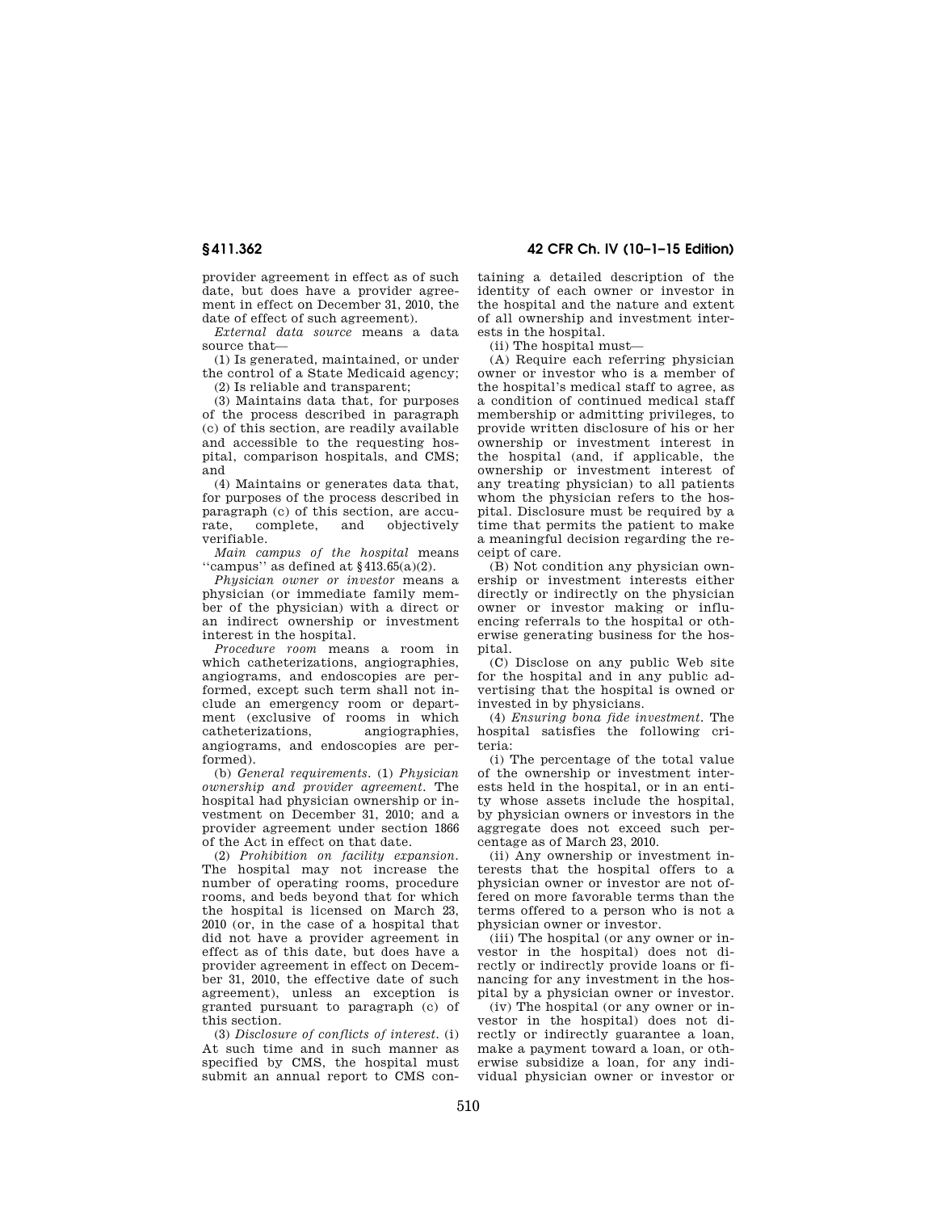provider agreement in effect as of such date, but does have a provider agreement in effect on December 31, 2010, the date of effect of such agreement).

*External data source* means a data source that—

(1) Is generated, maintained, or under the control of a State Medicaid agency;

(2) Is reliable and transparent;

(3) Maintains data that, for purposes of the process described in paragraph (c) of this section, are readily available and accessible to the requesting hospital, comparison hospitals, and CMS; and

(4) Maintains or generates data that, for purposes of the process described in paragraph (c) of this section, are accurate, complete, and objectively rate, complete, verifiable.

*Main campus of the hospital* means "campus" as defined at  $§413.65(a)(2)$ .

*Physician owner or investor* means a physician (or immediate family member of the physician) with a direct or an indirect ownership or investment interest in the hospital.

*Procedure room* means a room in which catheterizations, angiographies, angiograms, and endoscopies are performed, except such term shall not include an emergency room or department (exclusive of rooms in which<br>catheterizations, angiographies, catheterizations, angiograms, and endoscopies are performed).

(b) *General requirements.* (1) *Physician ownership and provider agreement.* The hospital had physician ownership or investment on December 31, 2010; and a provider agreement under section 1866 of the Act in effect on that date.

(2) *Prohibition on facility expansion.*  The hospital may not increase the number of operating rooms, procedure rooms, and beds beyond that for which the hospital is licensed on March 23, 2010 (or, in the case of a hospital that did not have a provider agreement in effect as of this date, but does have a provider agreement in effect on December 31, 2010, the effective date of such agreement), unless an exception is granted pursuant to paragraph (c) of this section.

(3) *Disclosure of conflicts of interest.* (i) At such time and in such manner as specified by CMS, the hospital must submit an annual report to CMS con-

**§ 411.362 42 CFR Ch. IV (10–1–15 Edition)** 

taining a detailed description of the identity of each owner or investor in the hospital and the nature and extent of all ownership and investment interests in the hospital.

(ii) The hospital must—

(A) Require each referring physician owner or investor who is a member of the hospital's medical staff to agree, as a condition of continued medical staff membership or admitting privileges, to provide written disclosure of his or her ownership or investment interest in the hospital (and, if applicable, the ownership or investment interest of any treating physician) to all patients whom the physician refers to the hospital. Disclosure must be required by a time that permits the patient to make a meaningful decision regarding the receipt of care.

(B) Not condition any physician ownership or investment interests either directly or indirectly on the physician owner or investor making or influencing referrals to the hospital or otherwise generating business for the hospital.

(C) Disclose on any public Web site for the hospital and in any public advertising that the hospital is owned or invested in by physicians.

(4) *Ensuring bona fide investment.* The hospital satisfies the following criteria:

(i) The percentage of the total value of the ownership or investment interests held in the hospital, or in an entity whose assets include the hospital, by physician owners or investors in the aggregate does not exceed such percentage as of March 23, 2010.

(ii) Any ownership or investment interests that the hospital offers to a physician owner or investor are not offered on more favorable terms than the terms offered to a person who is not a physician owner or investor.

(iii) The hospital (or any owner or investor in the hospital) does not directly or indirectly provide loans or financing for any investment in the hospital by a physician owner or investor.

(iv) The hospital (or any owner or investor in the hospital) does not directly or indirectly guarantee a loan, make a payment toward a loan, or otherwise subsidize a loan, for any individual physician owner or investor or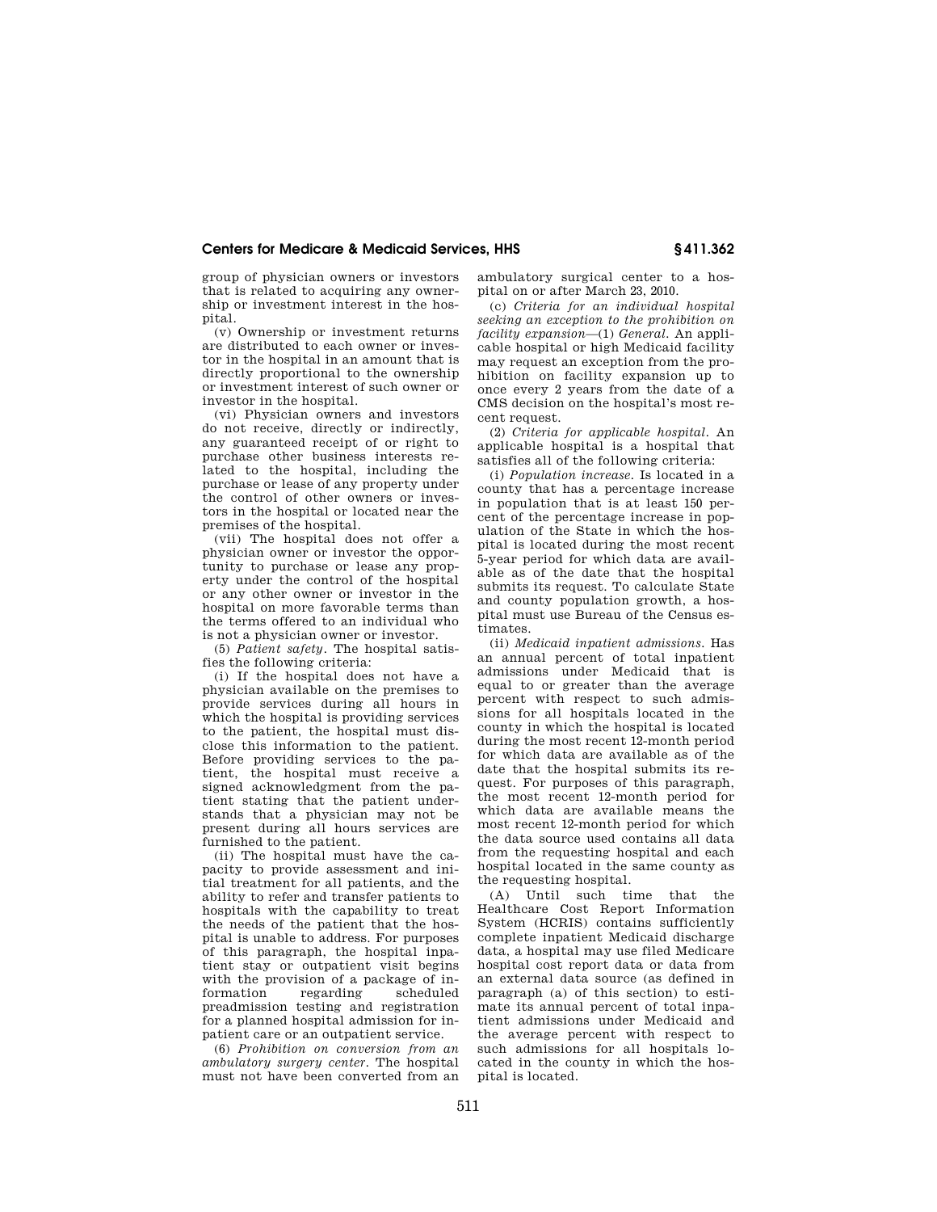# **Centers for Medicare & Medicaid Services, HHS § 411.362**

group of physician owners or investors that is related to acquiring any ownership or investment interest in the hospital.

(v) Ownership or investment returns are distributed to each owner or investor in the hospital in an amount that is directly proportional to the ownership or investment interest of such owner or investor in the hospital.

(vi) Physician owners and investors do not receive, directly or indirectly, any guaranteed receipt of or right to purchase other business interests re-.<br>lated to the hospital, including the purchase or lease of any property under the control of other owners or investors in the hospital or located near the premises of the hospital.

(vii) The hospital does not offer a physician owner or investor the opportunity to purchase or lease any property under the control of the hospital or any other owner or investor in the hospital on more favorable terms than the terms offered to an individual who is not a physician owner or investor.

(5) *Patient safety.* The hospital satisfies the following criteria:

(i) If the hospital does not have a physician available on the premises to provide services during all hours in which the hospital is providing services to the patient, the hospital must disclose this information to the patient. Before providing services to the patient, the hospital must receive a signed acknowledgment from the patient stating that the patient understands that a physician may not be present during all hours services are furnished to the patient.

(ii) The hospital must have the capacity to provide assessment and initial treatment for all patients, and the ability to refer and transfer patients to hospitals with the capability to treat the needs of the patient that the hospital is unable to address. For purposes of this paragraph, the hospital inpatient stay or outpatient visit begins with the provision of a package of information regarding scheduled preadmission testing and registration for a planned hospital admission for inpatient care or an outpatient service.

(6) *Prohibition on conversion from an ambulatory surgery center.* The hospital must not have been converted from an ambulatory surgical center to a hospital on or after March 23, 2010.

(c) *Criteria for an individual hospital seeking an exception to the prohibition on facility expansion*—(1) *General.* An applicable hospital or high Medicaid facility may request an exception from the prohibition on facility expansion up to once every 2 years from the date of a CMS decision on the hospital's most recent request.

(2) *Criteria for applicable hospital.* An applicable hospital is a hospital that satisfies all of the following criteria:

(i) *Population increase.* Is located in a county that has a percentage increase in population that is at least 150 percent of the percentage increase in population of the State in which the hospital is located during the most recent 5-year period for which data are available as of the date that the hospital submits its request. To calculate State and county population growth, a hospital must use Bureau of the Census estimates.

(ii) *Medicaid inpatient admissions.* Has an annual percent of total inpatient admissions under Medicaid that is equal to or greater than the average percent with respect to such admissions for all hospitals located in the county in which the hospital is located during the most recent 12-month period for which data are available as of the date that the hospital submits its request. For purposes of this paragraph, the most recent 12-month period for which data are available means the most recent 12-month period for which the data source used contains all data from the requesting hospital and each hospital located in the same county as the requesting hospital.

(A) Until such time that the Healthcare Cost Report Information System (HCRIS) contains sufficiently complete inpatient Medicaid discharge data, a hospital may use filed Medicare hospital cost report data or data from an external data source (as defined in paragraph (a) of this section) to estimate its annual percent of total inpatient admissions under Medicaid and the average percent with respect to such admissions for all hospitals located in the county in which the hospital is located.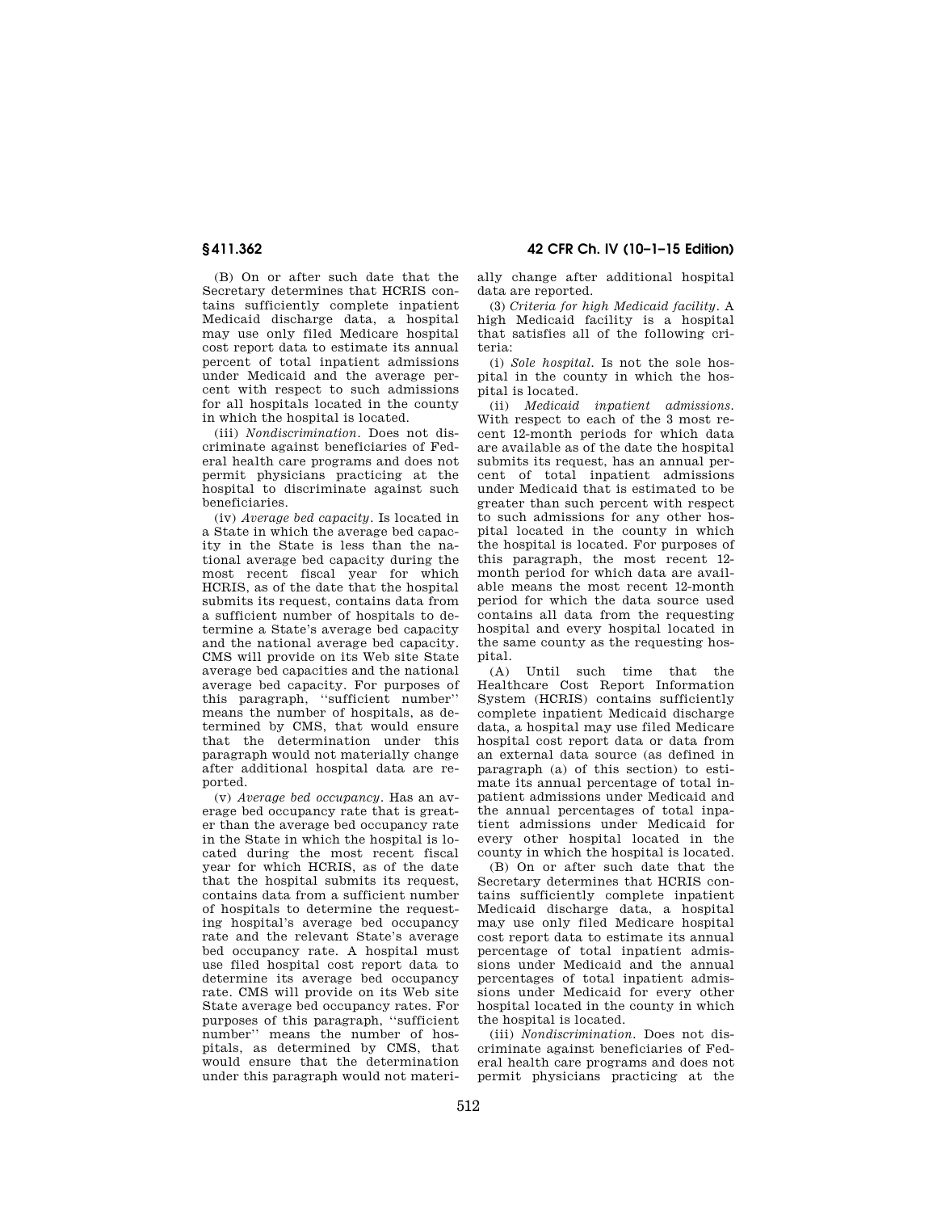(B) On or after such date that the Secretary determines that HCRIS contains sufficiently complete inpatient Medicaid discharge data, a hospital may use only filed Medicare hospital cost report data to estimate its annual percent of total inpatient admissions under Medicaid and the average percent with respect to such admissions for all hospitals located in the county in which the hospital is located.

(iii) *Nondiscrimination.* Does not discriminate against beneficiaries of Federal health care programs and does not permit physicians practicing at the hospital to discriminate against such beneficiaries.

(iv) *Average bed capacity.* Is located in a State in which the average bed capacity in the State is less than the national average bed capacity during the most recent fiscal year for which HCRIS, as of the date that the hospital submits its request, contains data from a sufficient number of hospitals to determine a State's average bed capacity and the national average bed capacity. CMS will provide on its Web site State average bed capacities and the national average bed capacity. For purposes of this paragraph, ''sufficient number'' means the number of hospitals, as determined by CMS, that would ensure that the determination under this paragraph would not materially change after additional hospital data are reported.

(v) *Average bed occupancy.* Has an average bed occupancy rate that is greater than the average bed occupancy rate in the State in which the hospital is located during the most recent fiscal year for which HCRIS, as of the date that the hospital submits its request, contains data from a sufficient number of hospitals to determine the requesting hospital's average bed occupancy rate and the relevant State's average bed occupancy rate. A hospital must use filed hospital cost report data to determine its average bed occupancy rate. CMS will provide on its Web site State average bed occupancy rates. For purposes of this paragraph, ''sufficient number'' means the number of hospitals, as determined by CMS, that would ensure that the determination under this paragraph would not materi-

**§ 411.362 42 CFR Ch. IV (10–1–15 Edition)** 

ally change after additional hospital data are reported.

(3) *Criteria for high Medicaid facility.* A high Medicaid facility is a hospital that satisfies all of the following criteria:

(i) *Sole hospital.* Is not the sole hospital in the county in which the hospital is located.

(ii) *Medicaid inpatient admissions.*  With respect to each of the 3 most recent 12-month periods for which data are available as of the date the hospital submits its request, has an annual percent of total inpatient admissions under Medicaid that is estimated to be greater than such percent with respect to such admissions for any other hospital located in the county in which the hospital is located. For purposes of this paragraph, the most recent 12 month period for which data are available means the most recent 12-month period for which the data source used contains all data from the requesting hospital and every hospital located in the same county as the requesting hospital.

(A) Until such time that the Healthcare Cost Report Information System (HCRIS) contains sufficiently complete inpatient Medicaid discharge data, a hospital may use filed Medicare hospital cost report data or data from an external data source (as defined in paragraph (a) of this section) to estimate its annual percentage of total inpatient admissions under Medicaid and the annual percentages of total inpatient admissions under Medicaid for every other hospital located in the county in which the hospital is located.

(B) On or after such date that the Secretary determines that HCRIS contains sufficiently complete inpatient Medicaid discharge data, a hospital may use only filed Medicare hospital cost report data to estimate its annual percentage of total inpatient admissions under Medicaid and the annual percentages of total inpatient admissions under Medicaid for every other hospital located in the county in which the hospital is located.

(iii) *Nondiscrimination.* Does not discriminate against beneficiaries of Federal health care programs and does not permit physicians practicing at the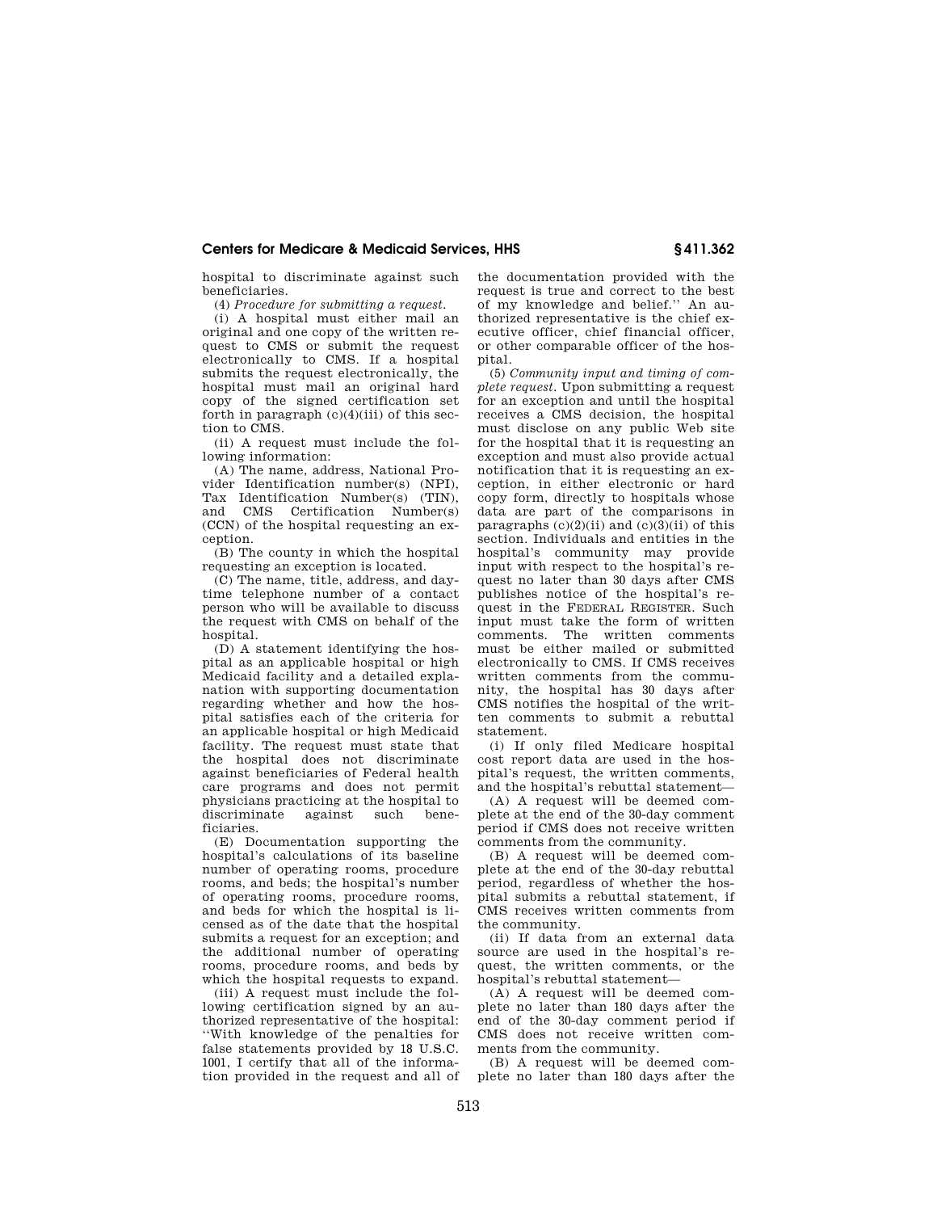### **Centers for Medicare & Medicaid Services, HHS § 411.362**

hospital to discriminate against such beneficiaries.

(4) *Procedure for submitting a request.* 

(i) A hospital must either mail an original and one copy of the written request to CMS or submit the request electronically to CMS. If a hospital submits the request electronically, the hospital must mail an original hard copy of the signed certification set forth in paragraph  $(c)(4)(iii)$  of this section to CMS.

(ii) A request must include the following information:

(A) The name, address, National Provider Identification number(s) (NPI), Tax Identification Number(s) (TIN), and CMS Certification Number(s) (CCN) of the hospital requesting an exception.

(B) The county in which the hospital requesting an exception is located.

(C) The name, title, address, and daytime telephone number of a contact person who will be available to discuss the request with CMS on behalf of the hospital.

(D) A statement identifying the hospital as an applicable hospital or high Medicaid facility and a detailed explanation with supporting documentation regarding whether and how the hospital satisfies each of the criteria for an applicable hospital or high Medicaid facility. The request must state that the hospital does not discriminate against beneficiaries of Federal health care programs and does not permit physicians practicing at the hospital to<br>discriminate against such henediscriminate against such ficiaries.

(E) Documentation supporting the hospital's calculations of its baseline number of operating rooms, procedure rooms, and beds; the hospital's number of operating rooms, procedure rooms, and beds for which the hospital is licensed as of the date that the hospital submits a request for an exception; and the additional number of operating rooms, procedure rooms, and beds by which the hospital requests to expand.

(iii) A request must include the following certification signed by an authorized representative of the hospital: ''With knowledge of the penalties for false statements provided by 18 U.S.C. 1001, I certify that all of the information provided in the request and all of the documentation provided with the request is true and correct to the best of my knowledge and belief.'' An authorized representative is the chief executive officer, chief financial officer, or other comparable officer of the hospital.

(5) *Community input and timing of complete request.* Upon submitting a request for an exception and until the hospital receives a CMS decision, the hospital must disclose on any public Web site for the hospital that it is requesting an exception and must also provide actual notification that it is requesting an exception, in either electronic or hard copy form, directly to hospitals whose data are part of the comparisons in paragraphs  $(c)(2)(ii)$  and  $(c)(3)(ii)$  of this section. Individuals and entities in the hospital's community may provide input with respect to the hospital's request no later than 30 days after CMS publishes notice of the hospital's request in the FEDERAL REGISTER. Such input must take the form of written comments. The written comments must be either mailed or submitted electronically to CMS. If CMS receives written comments from the community, the hospital has 30 days after CMS notifies the hospital of the written comments to submit a rebuttal statement.

(i) If only filed Medicare hospital cost report data are used in the hospital's request, the written comments, and the hospital's rebuttal statement—

(A) A request will be deemed complete at the end of the 30-day comment period if CMS does not receive written comments from the community.

(B) A request will be deemed complete at the end of the 30-day rebuttal period, regardless of whether the hospital submits a rebuttal statement, if CMS receives written comments from the community.

(ii) If data from an external data source are used in the hospital's request, the written comments, or the hospital's rebuttal statement—

(A) A request will be deemed complete no later than 180 days after the end of the 30-day comment period if CMS does not receive written comments from the community.

(B) A request will be deemed complete no later than 180 days after the